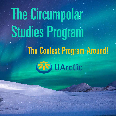# The Circumpolar Studies Program

## The Coolest Program Around!

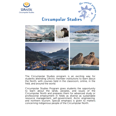



#### **Circumpolar Studies**



The Circumpolar Studies program is an exciting way for students attending UArctic member institutions to learn about the North, with courses held in the classroom, online, in the field, and around the world.

Circumpolar Studies Program gives students the opportunity to learn about the lands, peoples, and issues of the Circumpolar North and prepares them for advanced study or professional employment in fields as diverse as sustainable resource management, self-government, Arctic engineering, and northern tourism. Special emphasis is given to matters. concerning indigenous people of the Circumpolar North.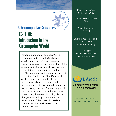

#### **Circumpolar Studies** CS 100: Introduction to the Circumpolar World

Introduction to the Circumpolar World introduces students to the landscape, peoples and issues of the circumpolar region. Beginning with an examination of the geography, biological and physical systems of the Subarctic and Arctic, it then turns to the Aboriginal and contemporary peoples of the region. The history of the Circumpolar World is treated in a broad fashion, to provide grounding in the events and developments that have created the region's contemporary qualities. The second part of the course surveys some of the particular issues facing the region, including climate change, economic, political and social development. This course ultimately is intended to stimulate interest in the Circumpolar World.

Study Term Dates: Sept - Dec 2021

Course dates and times: TBA

> Credit Equivalent: 6 ECTS

Students may be eligible for OSAP and/or Government funding

Hosted by Yukon University and Lakehead University

. . . . . . . . . . . . . .

**UArctic** 

www.uarctic.org University of the Arctic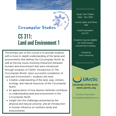## **Circumpolar Studies** CS 311: Land and Environment 1

the coole

The primary aim of this course is to provide students with a more in-depth understanding of the lands and environments that defines the Circumpolar North, as well as the key issues involving interaction between humans and environment that were introduced through modules of CS100: Introduction to The Circumpolar World. Upon successful completion of Land and Environment I, students will have:

- A better understanding of the land, seas, climate, ecology, and natural resources of the Circumpolar North.
- An appreciation of how diverse methods contribute to understanding land and environment in the Circumpolar North.
- Insight into the challenges presented by the physical and natural universe, and an introduction to human influence on northern lands and environments.

Study Term Dates: Sept - Dec 2021

Course dates and times: TBA

> Credit Equivalent 6 ECTS

Students may be eligible for OSAP and/or Government funding

> Hosted by Trent University

> > . . . . . . . . . . . . . . *.*



www.uarctic.org University of the Arctic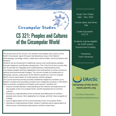## **Circumpolar Studies** CS 321: Peoples and Cultures of the Circumpolar World

The primary aim of this course is to introduce the peoples and cultures of the North Circumpolar region through interdisciplinary study in the fields of anthropology, sociology, history, media and cultural studies, communications and literature.

Students will be introduced to traditional cultures and contemporary peoples through indigenous and Western perspectives. This is the first of two courses that aim to promote an integrated and multidisciplinary understanding of the circumpolar peoples and their adaptations and contributions to social, economic, political and environmental changes. This course includes an introduction to Aboriginal cultures, a discussion of the Western presence in the Circumpolar North, and an examination of contemporary northern peoples. This course examines primary societies (traditional Indigenous societies up to Western contact) and secondary societies (non-Indigenous enclaves in the North). Upon successful completion of Peoples and Cultures I, students will:

- Acquire a broad and basic understanding of the histories and experiences of the peoples of the Circumpolar North, and the development of northern cultures;
- Develop an understanding of the similarities and differences of northern peoples and cultures, their adaptations to change, and their roles as agents of change;
- Gain an appreciation of the cultural diversity of the Circumpolar North;
- Develop an understanding of basic research methods and an appreciation of ethical issues confronting contemporary northern researchers.

Study Term Dates: Sept - Dec, 2021

Course dates and times: TBA

> Credit Equivalent 6 ECTS

Students may be eligible for OSAP and/or Government funding

> Hosted by Trent University

**UArctic** University of the Arctic

www.uarctic.org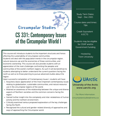## **Circumpolar Studies** CS 331: Contemporary Issues of the Circumpolar World I

This course will introduce students to the important structures and forces affecting the sustainability of circumpolar communities. Students will deal with the population trends in the circumpolar region, natural resource use and the economies of these communities, and economic ownership. This course will also provide students with an appreciation of the main challenges confronting the peoples and communities of the world's northern regions. As such it will be beneficial to students attempting to better understand the current questions facing the north as well as to those planning to pursue advanced studies about the region.

Upon successful completion of Contemporary Issues I, students will have:

- Acquired a basic appreciation of the most important contemporary issues relating to globalization, sustainable communities, and natural resource use in the circumpolar regions of the world.
- Attained an awareness of the relationship between the unique and diverse aspects of Northern societies and the common concerns facing the region.
- Gained further insight into the complexity and inter-relatedness of human activity and the northern environment.
- Critically examined various proposed explanations of the key challenges facing the North.
- Recognized the cultural and gender-related diversity of approaches and ways of approaching the Circumpolar world.

Study Term Dates: Sept - Dec 2021

Course dates and times: TBA

> Credit Equivalent 6 ECTS

Students may be eligible for OSAP and/or Government funding

> Hosted by Trent University



www.uarctic.org University of the Arctic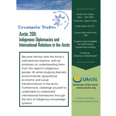

#### **Circumpolar Studies** Arctic 200: Indigenous Diplomacies and International Relations in the Arctic

Become familiar with the Arctic's international relations, with an emphasis on understanding them from the region's indigenous people. All while studying dramatic environmental, geopolitical, economic and social transformations in the arctic. Furthermore, challenge yourself to understand to understand international frameworks through the lens of indigenous knowledge systems.

Study Term Dates: Sept – Dec 2021 Instructor: Jason Young

Credit Value: 6 ECTS

Course dates and times: TBA

Students may be eligible for OSAP and/or Government funding

Hosted by University of Washington

. . . . . . . . . . . . . . . . . .

**UArctic** 

www.uarctic.org University of the Arctic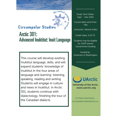

#### **Circumpolar Studies** Arctic 301: Advanced Inuktitut: Inuit Language

This course will develop existing Inuktitut language, skills, and will expand students' knowledge of Inuktitut in the four areas of language and learning: listening, speaking, reading and writing. Students will engage in culture and news in Inuktitut. In Arctic 301, students continue with dialectology, finishing the tour of the Canadian dialects.

Study Term Dates: Sept – Dec 2021

Course dates and times: TBA

Instructor: Alexina Kublu

Credit Value: 6 ECTS

Students may be eligible for OSAP and/or Government funding

Hosted by University of Washington

. . . . . . . . . . . . . . . . . .

**UArctic** 

www.uarctic.org University of the Arctic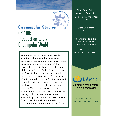

#### **Circumpolar Studies** CS 100: Introduction to the Circumpolar World

Introduction to the Circumpolar World introduces students to the landscape, peoples and issues of the circumpolar region. Beginning with an examination of the geography, biological and physical systems of the Subarctic and Arctic, it then turns to the Aboriginal and contemporary peoples of the region. The history of the Circumpolar World is treated in a broad fashion, to provide grounding in the events and developments that have created the region's contemporary qualities. The second part of the course surveys some of the particular issues facing the region, including climate change, economic, political and social development. This course ultimately is intended to stimulate interest in the Circumpolar World.

Study Term Dates: January - April 2022 Course dates and times: **TBA** 

> Credit Equivalent: 6 ECTS

Students may be eligible for OSAP and/or Government funding.

Hosted by Yukon University/UNBC

. . . . . . . . . . . . . . . . *.* 

**UArctic** 

www.uarctic.org University of the Arctic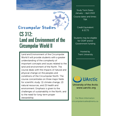

#### **Circumpolar Studies** CS 312: Land and Environment of the Circumpolar World ll

Land and Environment of the Circumpolar World ll will provide students with a greater understanding of the complexity of important concepts and issues related to the land and environment of the North. The course deals with the impacts of natural and physical change on the peoples and conditions of the Circumpolar North. The course concentrates on three major fields for scientific study: (1) climate change, (2) natural resources, and (3) health and environment. Emphasis is given to the challenges of sustainability in the North, and to the need for long-term proper stewardship.

Study Term Dates: January – April 2022 Course dates and times: **TBA** 

> Credit Equivalent: 6 ECTS

Students may be eligible for OSAP and/or Government funding

> Hosted by Trent University

> > . . . . . . . . . . . . . . . . .

**UArctic** 

www.uarctic.org University of the Arctic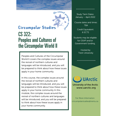## **Circumpolar Studies** CS 322: Peoples and Cultures of the Circumpolar World ll

the cooles

Peoples and Cultures of the Circumpolar World ll covers the complex issues around the revival of northern cultures and languages will be introduced, and you will be prepared to think about how these issues apply in your home community.

In this course, the complex issues around the revival of northern cultures and languages will be introduced, and you will be prepared to think about how these issues apply in your home community In this module, the complex issues around the revival of northern cultures and languages will be introduced, and you will be prepared to think about how these issues apply in your home community.

Study Term Dates: January – April 2022

Course dates and times: **TBA** 

> Credit Equivalent: 6 ECTS

Students may be eligible for OSAP and/or Government funding,

> Hosted by Trent University

**UArctic** University of the Arctic

www.uarctic.org